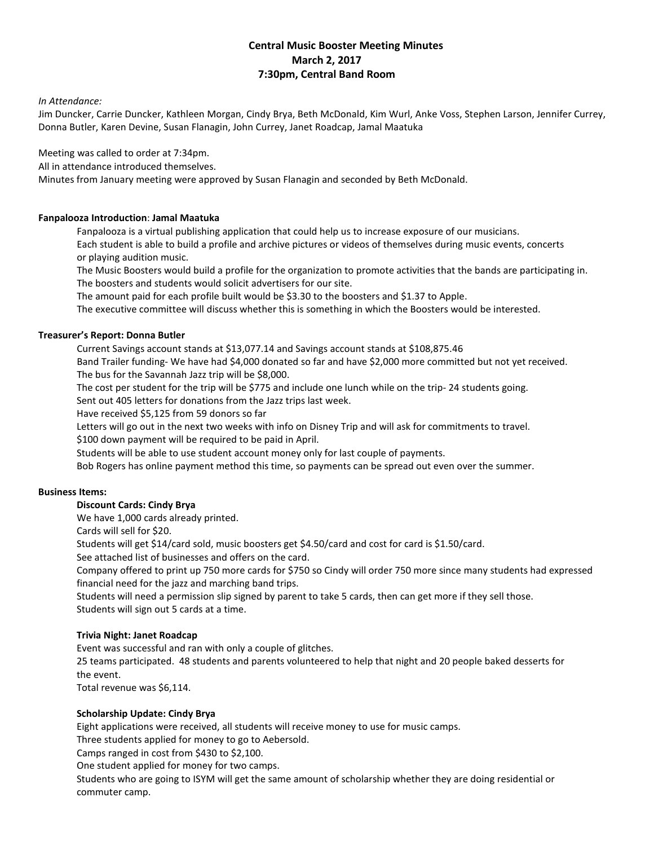# **Central Music Booster Meeting Minutes March 2, 2017 7:30pm, Central Band Room**

#### *In Attendance:*

Jim Duncker, Carrie Duncker, Kathleen Morgan, Cindy Brya, Beth McDonald, Kim Wurl, Anke Voss, Stephen Larson, Jennifer Currey, Donna Butler, Karen Devine, Susan Flanagin, John Currey, Janet Roadcap, Jamal Maatuka

Meeting was called to order at 7:34pm.

All in attendance introduced themselves.

Minutes from January meeting were approved by Susan Flanagin and seconded by Beth McDonald.

### **Fanpalooza Introduction**: **Jamal Maatuka**

Fanpalooza is a virtual publishing application that could help us to increase exposure of our musicians. Each student is able to build a profile and archive pictures or videos of themselves during music events, concerts or playing audition music.

The Music Boosters would build a profile for the organization to promote activities that the bands are participating in. The boosters and students would solicit advertisers for our site.

The amount paid for each profile built would be \$3.30 to the boosters and \$1.37 to Apple.

The executive committee will discuss whether this is something in which the Boosters would be interested.

### **Treasurer's Report: Donna Butler**

Current Savings account stands at \$13,077.14 and Savings account stands at \$108,875.46

Band Trailer funding- We have had \$4,000 donated so far and have \$2,000 more committed but not yet received. The bus for the Savannah Jazz trip will be \$8,000.

The cost per student for the trip will be \$775 and include one lunch while on the trip- 24 students going.

Sent out 405 letters for donations from the Jazz trips last week.

Have received \$5,125 from 59 donors so far

Letters will go out in the next two weeks with info on Disney Trip and will ask for commitments to travel.

\$100 down payment will be required to be paid in April.

Students will be able to use student account money only for last couple of payments.

Bob Rogers has online payment method this time, so payments can be spread out even over the summer.

#### **Business Items:**

# **Discount Cards: Cindy Brya**

We have 1,000 cards already printed.

Cards will sell for \$20.

Students will get \$14/card sold, music boosters get \$4.50/card and cost for card is \$1.50/card.

See attached list of businesses and offers on the card.

Company offered to print up 750 more cards for \$750 so Cindy will order 750 more since many students had expressed financial need for the jazz and marching band trips.

Students will need a permission slip signed by parent to take 5 cards, then can get more if they sell those. Students will sign out 5 cards at a time.

# **Trivia Night: Janet Roadcap**

Event was successful and ran with only a couple of glitches.

25 teams participated. 48 students and parents volunteered to help that night and 20 people baked desserts for the event.

Total revenue was \$6,114.

# **Scholarship Update: Cindy Brya**

Eight applications were received, all students will receive money to use for music camps.

Three students applied for money to go to Aebersold.

Camps ranged in cost from \$430 to \$2,100.

One student applied for money for two camps.

Students who are going to ISYM will get the same amount of scholarship whether they are doing residential or commuter camp.